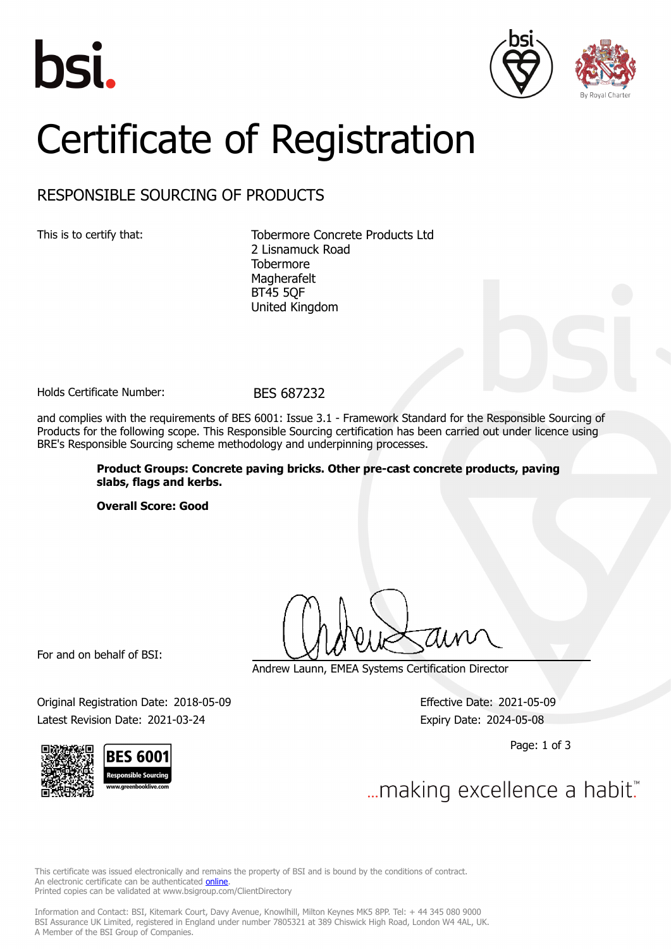





# Certificate of Registration

## RESPONSIBLE SOURCING OF PRODUCTS

This is to certify that: Tobermore Concrete Products Ltd 2 Lisnamuck Road **Tobermore** Magherafelt BT45 5QF United Kingdom

Holds Certificate Number: BES 687232

and complies with the requirements of BES 6001: Issue 3.1 - Framework Standard for the Responsible Sourcing of Products for the following scope. This Responsible Sourcing certification has been carried out under licence using BRE's Responsible Sourcing scheme methodology and underpinning processes.

> **Product Groups: Concrete paving bricks. Other pre-cast concrete products, paving slabs, flags and kerbs.**

**Overall Score: Good**

For and on behalf of BSI:

Andrew Launn, EMEA Systems Certification Director

Original Registration Date: 2018-05-09 Effective Date: 2021-05-09 Latest Revision Date: 2021-03-24 Expiry Date: 2024-05-08

Page: 1 of 3

... making excellence a habit."

This certificate was issued electronically and remains the property of BSI and is bound by the conditions of contract. An electronic certificate can be authenticated **[online](https://pgplus.bsigroup.com/CertificateValidation/CertificateValidator.aspx?CertificateNumber=BES+687232&ReIssueDate=24%2f03%2f2021&Template=uk)**. Printed copies can be validated at www.bsigroup.com/ClientDirectory

Information and Contact: BSI, Kitemark Court, Davy Avenue, Knowlhill, Milton Keynes MK5 8PP. Tel: + 44 345 080 9000 BSI Assurance UK Limited, registered in England under number 7805321 at 389 Chiswick High Road, London W4 4AL, UK. A Member of the BSI Group of Companies.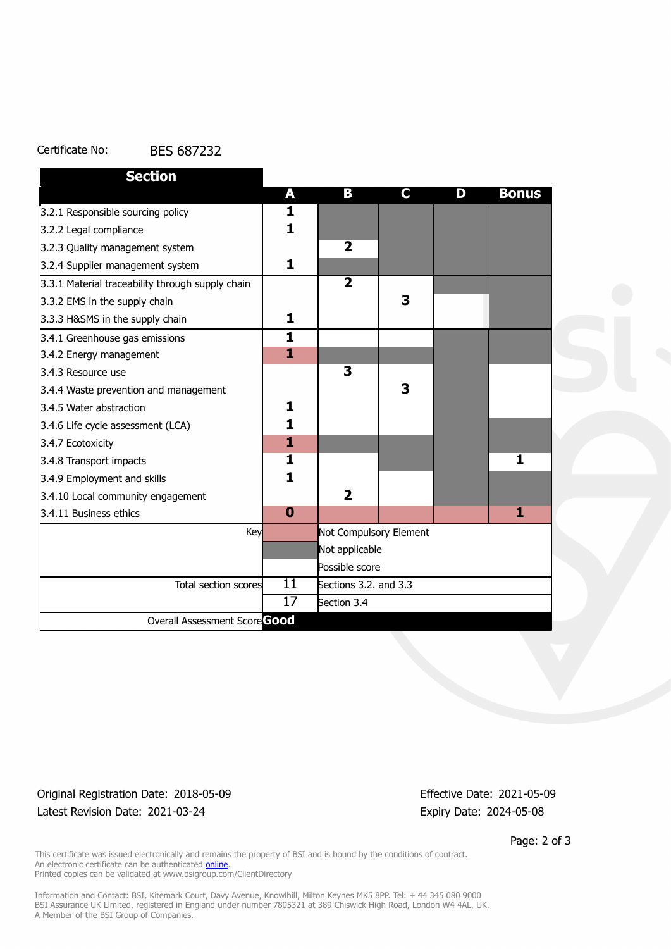#### Certificate No: BES 687232

| <b>Section</b>                                   |                         |                         |   |   |              |
|--------------------------------------------------|-------------------------|-------------------------|---|---|--------------|
|                                                  | A                       | В                       | C | D | <b>Bonus</b> |
| 3.2.1 Responsible sourcing policy                | 1                       |                         |   |   |              |
| 3.2.2 Legal compliance                           | 1                       |                         |   |   |              |
| 3.2.3 Quality management system                  |                         | $\overline{\mathbf{2}}$ |   |   |              |
| 3.2.4 Supplier management system                 | 1                       |                         |   |   |              |
| 3.3.1 Material traceability through supply chain |                         | $\overline{2}$          |   |   |              |
| 3.3.2 EMS in the supply chain                    |                         |                         | 3 |   |              |
| 3.3.3 H&SMS in the supply chain                  | 1                       |                         |   |   |              |
| 3.4.1 Greenhouse gas emissions                   | $\overline{\mathbf{1}}$ |                         |   |   |              |
| 3.4.2 Energy management                          | $\mathbf{1}$            |                         |   |   |              |
| 3.4.3 Resource use                               |                         | 3                       |   |   |              |
| 3.4.4 Waste prevention and management            |                         |                         | 3 |   |              |
| 3.4.5 Water abstraction                          | 1                       |                         |   |   |              |
| 3.4.6 Life cycle assessment (LCA)                | 1                       |                         |   |   |              |
| 3.4.7 Ecotoxicity                                | $\mathbf{1}$            |                         |   |   |              |
| 3.4.8 Transport impacts                          | 1                       |                         |   |   | 1            |
| 3.4.9 Employment and skills                      | 1                       |                         |   |   |              |
| 3.4.10 Local community engagement                |                         | $\overline{2}$          |   |   |              |
| 3.4.11 Business ethics                           | $\bf{0}$                |                         |   |   | 1            |
| Key                                              |                         | Not Compulsory Element  |   |   |              |
|                                                  |                         | Not applicable          |   |   |              |
|                                                  |                         | Possible score          |   |   |              |
| Total section scores                             | 11                      | Sections 3.2. and 3.3   |   |   |              |
|                                                  | 17                      | Section 3.4             |   |   |              |
| Overall Assessment Score Good                    |                         |                         |   |   |              |

### Original Registration Date: 2018-05-09 Effective Date: 2021-05-09 Latest Revision Date: 2021-03-24 Expiry Date: 2024-05-08

Page: 2 of 3

This certificate was issued electronically and remains the property of BSI and is bound by the conditions of contract. An electronic certificate can be authenticated **[online](https://pgplus.bsigroup.com/CertificateValidation/CertificateValidator.aspx?CertificateNumber=BES+687232&ReIssueDate=24%2f03%2f2021&Template=uk)**. Printed copies can be validated at www.bsigroup.com/ClientDirectory

Information and Contact: BSI, Kitemark Court, Davy Avenue, Knowlhill, Milton Keynes MK5 8PP. Tel: + 44 345 080 9000 BSI Assurance UK Limited, registered in England under number 7805321 at 389 Chiswick High Road, London W4 4AL, UK. A Member of the BSI Group of Companies.